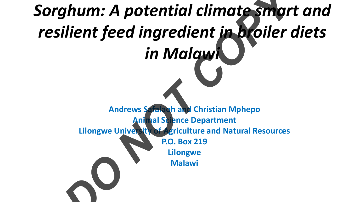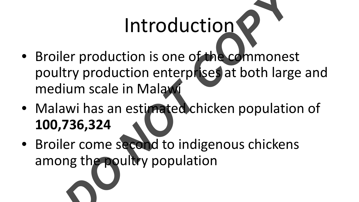### Introduction

- Broiler production is one of the commonest poultry production enterprises at both large and medium scale in Malaw Introduction<br>
ler production is one of the commones<br>
try production enterprises at both larg<br>
ium scale in Malaxi<br>
awi has an estimated chicken populatio<br> **736,324**<br>
ler come second to indigenous chicken:<br>
ng the poultry p
- Malawi has an estimated chicken population of **100,736,324**
- Broiler come second to indigenous chickens among the poultry population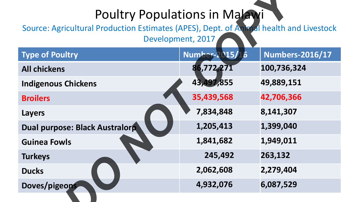#### Poultry Populations in Malawi

| <b>Poultry Populations in Malawi</b><br>Source: Agricultural Production Estimates (APES), Dept. of Animal health and Livestock<br>Development, 2017 |                |                        |  |  |  |
|-----------------------------------------------------------------------------------------------------------------------------------------------------|----------------|------------------------|--|--|--|
| <b>Type of Poultry</b>                                                                                                                              | Number-2015/16 | <b>Numbers-2016/17</b> |  |  |  |
| <b>All chickens</b>                                                                                                                                 | 86,772,271     | 100,736,324            |  |  |  |
| <b>Indigenous Chickens</b>                                                                                                                          | 43,497,855     | 49,889,151             |  |  |  |
| <b>Broilers</b>                                                                                                                                     | 35,439,568     | 42,706,366             |  |  |  |
| <b>Layers</b>                                                                                                                                       | 7,834,848      | 8,141,307              |  |  |  |
| Dual purpose: Black Australorp                                                                                                                      | 1,205,413      | 1,399,040              |  |  |  |
| <b>Guinea Fowls</b>                                                                                                                                 | 1,841,682      | 1,949,011              |  |  |  |
| <b>Turkeys</b>                                                                                                                                      | 245,492        | 263,132                |  |  |  |
| <b>Ducks</b>                                                                                                                                        | 2,062,608      | 2,279,404              |  |  |  |
| Doves/pigeons                                                                                                                                       | 4,932,076      | 6,087,529              |  |  |  |
|                                                                                                                                                     |                |                        |  |  |  |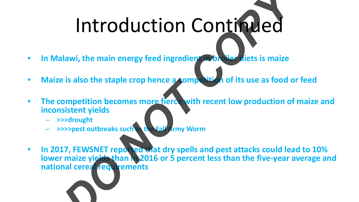# Introduction Continued *DO NOT COPY*

- **In Malawi, the main energy feed ingredient in broiler diets is maize**
- Maize is also the staple crop hence a sompetition of its use as food or feed
- **The competition becomes more fierce with recent low production of maize and inconsistent yields** 
	- **>>>drought**
	- **>>>>pest outbreaks such as the Fall Army Worm**
- In 2017, FEWSNET reported that dry spells and pest attacks could lead to 10% **lower maize yields than in 2016 or 5 percent less than the five-year average and national cereal requirements**

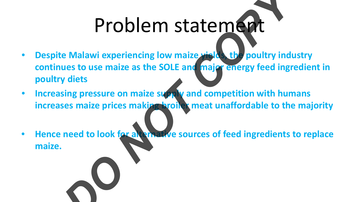### Problem statement

- **Despite Malawi experiencing low maize yields, the poultry industry continues to use maize as the SOLE and major energy feed ingredient in poultry diets** Problem statement of the Malawi experiencing low maize with the poultry induces to use maize as the SOLE and major energy feed ingredients of the pressure on maize supply and competition with human ses maize prices making
- **Increasing pressure on maize supply and competition with humans increases maize prices making broiler meat unaffordable to the majority**
- **Hence need to look for alternative sources of feed ingredients to replace maize.**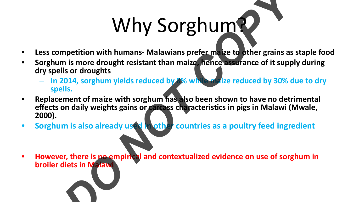## Why Sorghum?

- **Less competition with humans- Malawians prefer maize to other grains as staple food**
- **Sorghum is more drought resistant than maize, hence assurance of it supply during dry spells or droughts**
	- **In 2014, sorghum yields reduced by 8% while maize reduced by 30% due to dry spells.**
- **Replacement of maize with sorghum has also been shown to have no detrimental effects on daily weights gains or carcass characteristics in pigs in Malawi (Mwale, 2000).**  Why Sorghum as the principal and contextualized evidence on use of sorg<br>
In is more droughts<br>
Donata or droughts<br>
Donata or droughts<br>
Donata or droughts<br>
Donata or droughts<br>
Donata or droughts<br>
Donata or droughts<br>
Donata o
- **Sorghum is also already used in other countries as a poultry feed ingredient**

• **However, there is no empirical and contextualized evidence on use of sorghum in broiler diets in Malawi**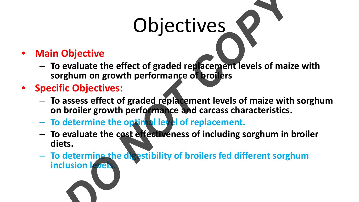### Objectives

#### • **Main Objective**

- **To evaluate the effect of graded replacement levels of maize with sorghum on growth performance of broilers**
- **Specific Objectives:**
	- **To assess effect of graded replacement levels of maize with sorghum on broiler growth performance and carcass characteristics.**
	- **To determine the optimal level of replacement.**
- **To evaluate the cost effectiveness of including sorghum in broiler diets. COPYRIMES**<br> **COPYRIMES**<br> **COPYRIME AND COPYRIME COPYRIME AND COPYRIME ASSESS**<br> **COPYRIME AND COPYRIME ASSESS**<br> **COPYRIME AND COPYRIME ASSESS**<br> **COPYRIME AND COPYRIME ASSESS**<br> **COPYRIME AND COPYRIME ASSESS**<br> **COPYRIME AND** 
	- **To determine the digestibility of broilers fed different sorghum inclusion levels.**

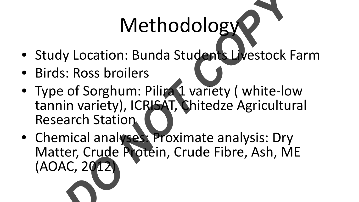### Methodology

- Study Location: Bunda Students Livestock Farm
- Birds: Ross broilers
- Type of Sorghum: Pilira 1 variety ( white-low tannin variety), ICRISAT, Chitedze Agricultural Research Station
- Chemical analyses: Proximate analysis: Dry Matter, Crude Protein, Crude Fibre, Ash, ME (AOAC, 2012) Methodology<br>
y Location: Bunda Students Livestock F<br>
SI: Ross broilers<br>
e of Sorghum: Piliza 1 variety (white-lov<br>
in variety), ICRISAT, Chitedze Agricultur<br>
arch Station<br>
mical analyses: Proximate analysis: Dry<br>
ter, Crud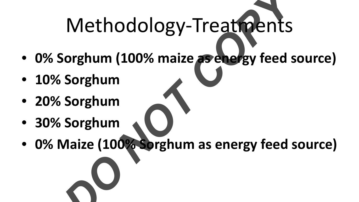# Methodology-Treatments Methodology-Treatments<br>
Sorghum<br>
Sorghum<br>
Sorghum<br>
Maize (100<sup>2</sup> Sorghum as energy feed s

- **0% Sorghum (100% maize as energy feed source)**
- **10% Sorghum**
- **20% Sorghum**
- **30% Sorghum**
- **0% Maize (100% Sorghum as energy feed source)**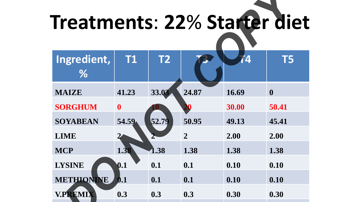| Ingredient,<br><b>T1</b><br><b>T2</b><br><b>T5</b><br><u>Д</u><br>$\%$<br>33.03<br>24.87<br>41.23<br>16.69<br><b>MAIZE</b><br>$\mathbf{0}$<br><b>SORGHUM</b><br>30.00<br>50.41<br>$\mathbf{0}$<br>52.79<br>54.59<br>50.95<br><b>SOYABEAN</b><br>49.13<br>45.41<br>$\overline{2}$<br>2.00<br><b>LIME</b><br>2.00<br>$\mathbf 2$<br>1.38<br>1.38<br><b>MCP</b><br>1.38<br>1.38<br>1.38<br>0.1<br>0.10<br>0.10<br><b>LYSINE</b><br>0.1<br>0.1<br><b>METHIONINE</b><br>0.1<br>0.1<br>0.10<br>0.10<br>$\bm{0.1}$ | Treatments: 22% Starter diet |  |  |  |  |  |  |  |
|-------------------------------------------------------------------------------------------------------------------------------------------------------------------------------------------------------------------------------------------------------------------------------------------------------------------------------------------------------------------------------------------------------------------------------------------------------------------------------------------------------------|------------------------------|--|--|--|--|--|--|--|
|                                                                                                                                                                                                                                                                                                                                                                                                                                                                                                             |                              |  |  |  |  |  |  |  |
|                                                                                                                                                                                                                                                                                                                                                                                                                                                                                                             |                              |  |  |  |  |  |  |  |
|                                                                                                                                                                                                                                                                                                                                                                                                                                                                                                             |                              |  |  |  |  |  |  |  |
|                                                                                                                                                                                                                                                                                                                                                                                                                                                                                                             |                              |  |  |  |  |  |  |  |
|                                                                                                                                                                                                                                                                                                                                                                                                                                                                                                             |                              |  |  |  |  |  |  |  |
|                                                                                                                                                                                                                                                                                                                                                                                                                                                                                                             |                              |  |  |  |  |  |  |  |
|                                                                                                                                                                                                                                                                                                                                                                                                                                                                                                             |                              |  |  |  |  |  |  |  |
|                                                                                                                                                                                                                                                                                                                                                                                                                                                                                                             |                              |  |  |  |  |  |  |  |
|                                                                                                                                                                                                                                                                                                                                                                                                                                                                                                             |                              |  |  |  |  |  |  |  |
| <b>V.PREMIX</b><br>0.3<br>0.3<br>0.3<br>0.30<br>0.30                                                                                                                                                                                                                                                                                                                                                                                                                                                        |                              |  |  |  |  |  |  |  |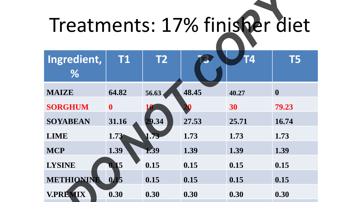## Treatments: 17% finisher diet

| Treatments: 17% finisher diet |              |                |       |       |                  |  |
|-------------------------------|--------------|----------------|-------|-------|------------------|--|
| Ingredient,                   | <b>T1</b>    | T <sub>2</sub> |       | Г4    | T5               |  |
| $\%$                          |              |                |       |       |                  |  |
| <b>MAIZE</b>                  | 64.82        | 56.63          | 48.45 | 40.27 | $\boldsymbol{0}$ |  |
| <b>SORGHUM</b>                | $\mathbf{0}$ |                |       | 30    | 79.23            |  |
| <b>SOYABEAN</b>               | 31.16        | 29.34          | 27.53 | 25.71 | 16.74            |  |
| <b>LIME</b>                   | 1.73         | 1.73           | 1.73  | 1.73  | 1.73             |  |
| <b>MCP</b>                    | 1.39         | 1.39           | 1.39  | 1.39  | 1.39             |  |
| <b>LYSINE</b>                 | 0.15         | 0.15           | 0.15  | 0.15  | 0.15             |  |
| METHIONINE                    | 0.15         | 0.15           | 0.15  | 0.15  | 0.15             |  |
| <b>V.PREMIX</b>               | 0.30         | 0.30           | 0.30  | 0.30  | 0.30             |  |
|                               |              |                |       |       |                  |  |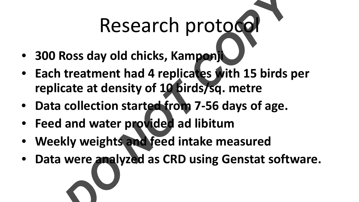### Research protocol

- **300 Ross day old chicks, Kamponji**
- **Each treatment had 4 replicates with 15 birds per replicate at density of 10 birds/sq. metre** Research protocol<br>
Ross day old chicks, Kampon,<br>
treatment had 4 replicates with 15 birds p<br>
cate at density of 10 birds/sq. metre<br>
collection started from 7-56 days of age.<br>
and water provided ad libitum<br>
kly weights and
- **Data collection started from 7-56 days of age.**
- **Feed and water provided ad libitum**
- **Weekly weights and feed intake measured**
- **Data were analyzed as CRD using Genstat software.**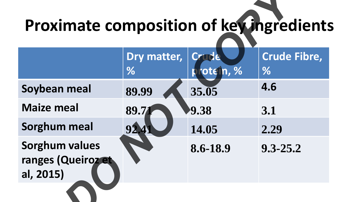### **Proximate composition of key ingredients**

| Proximate composition of key ingredient:                 |                  |                                           |                          |  |  |
|----------------------------------------------------------|------------------|-------------------------------------------|--------------------------|--|--|
|                                                          | Dry matter,<br>% | Crme<br>$\overline{\mathsf{ote}}$ n, $\%$ | <b>Crude Fibre,</b><br>% |  |  |
| Soybean meal                                             | 89.99            | 35.05                                     | 4.6                      |  |  |
| <b>Maize meal</b>                                        | 89.7             | 9.38                                      | 3.1                      |  |  |
| <b>Sorghum meal</b>                                      | 92.4             | 14.05                                     | 2.29                     |  |  |
| <b>Sorghum values</b><br>ranges (Queiroz et<br>al, 2015) |                  | 8.6-18.9                                  | $9.3 - 25.2$             |  |  |
|                                                          |                  |                                           |                          |  |  |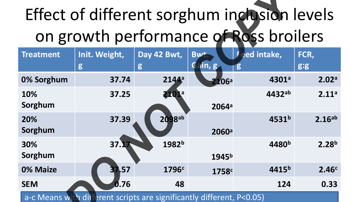### Effect of different sorghum inclusion levels on growth performance of Ross broilers

| Effect of different sorghum inclusion levels |                                                                       |                   |                   |                                        |                    |
|----------------------------------------------|-----------------------------------------------------------------------|-------------------|-------------------|----------------------------------------|--------------------|
|                                              |                                                                       |                   |                   | on growth performance of Ross broilers |                    |
| <b>Treatment</b>                             | Init. Weight,                                                         | Day 42 Bwt,       | Bw <sup>+</sup>   | ed intake,<br>г                        | FCR,               |
|                                              | g                                                                     | g                 | Gain, g           |                                        | g:g                |
| 0% Sorghum                                   | 37.74                                                                 | 2144 <sup>a</sup> | $2106^{\circ}$    | 4301 <sup>a</sup>                      | 2.02 <sup>a</sup>  |
| 10%                                          | 37.25                                                                 | 2101ª             |                   | $4432^{ab}$                            | 2.11 <sup>a</sup>  |
| Sorghum                                      |                                                                       |                   | 2064 <sup>a</sup> |                                        |                    |
| 20%                                          | 37.39                                                                 | 2098ab            |                   | 4531 <sup>b</sup>                      | 2.16 <sup>ab</sup> |
| Sorghum                                      |                                                                       |                   | 2060 <sup>a</sup> |                                        |                    |
| 30%                                          | 37.17                                                                 | 1982 <sup>b</sup> |                   | 4480 <sup>b</sup>                      | 2.28 <sup>b</sup>  |
| Sorghum                                      |                                                                       |                   | 1945 <sup>b</sup> |                                        |                    |
| 0% Maize                                     | 37.57                                                                 | 1796 <sup>c</sup> | 1758 <sup>c</sup> | 4415 <sup>b</sup>                      | 2.46 <sup>c</sup>  |
| <b>SEM</b>                                   | 0.76                                                                  | 48                |                   | 124                                    | 0.33               |
|                                              | a-c Means with different scripts are significantly different, P<0.05) |                   |                   |                                        |                    |
|                                              |                                                                       |                   |                   |                                        |                    |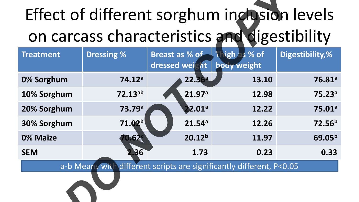### Effect of different sorghum inclusion levels on carcass characteristics and digestibility

| Effect of different sorghum inclusion levels                          |                    |                                              |                              |                    |  |
|-----------------------------------------------------------------------|--------------------|----------------------------------------------|------------------------------|--------------------|--|
|                                                                       |                    | on carcass characteristics and digestibility |                              |                    |  |
| <b>Treatment</b>                                                      | <b>Dressing %</b>  | Breast as % of<br>dressed weight             | Thigh as % of<br>bouy weight | Digestibility,%    |  |
| 0% Sorghum                                                            | 74.12a             | 22.36a                                       | 13.10                        | 76.81 <sup>a</sup> |  |
| 10% Sorghum                                                           | $72.13^{ab}$       | 21.97a                                       | 12.98                        | 75.23 <sup>a</sup> |  |
| 20% Sorghum                                                           | 73.79 <sup>a</sup> | 22.01 <sup>a</sup>                           | 12.22                        | 75.01 <sup>a</sup> |  |
| 30% Sorghum                                                           | 71.02 <sup>b</sup> | 21.54 <sup>a</sup>                           | 12.26                        | 72.56 <sup>b</sup> |  |
| 0% Maize                                                              | 0.629              | 20.12 <sup>b</sup>                           | 11.97                        | 69.05 <sup>b</sup> |  |
| <b>SEM</b>                                                            | 36                 | 1.73                                         | 0.23                         | 0.33               |  |
| different scripts are significantly different, P<0.05<br>a-b Means wh |                    |                                              |                              |                    |  |
|                                                                       |                    |                                              |                              |                    |  |
|                                                                       |                    |                                              |                              |                    |  |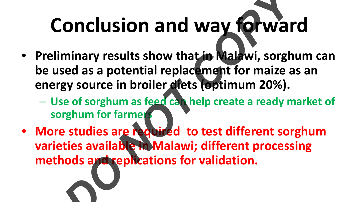### **Conclusion and way forward**

- **Preliminary results show that in Malawi, sorghum can be used as a potential replacement for maize as an energy source in broiler diets (optimum 20%). Onclusion and way forwar**<br>minary results show that in Malawi, sorgh<br>sed as a potential replacement for maize a<br>gy source in broiler diets (optimum 20%).<br>Re of sorghum as feed can help create a ready m<br>rghum for farmer<br>stu
	- **Use of sorghum as feed can help create a ready market of sorghum for farmers**
- **More studies are required to test different sorghum varieties available in Malawi; different processing methods and replications for validation.**